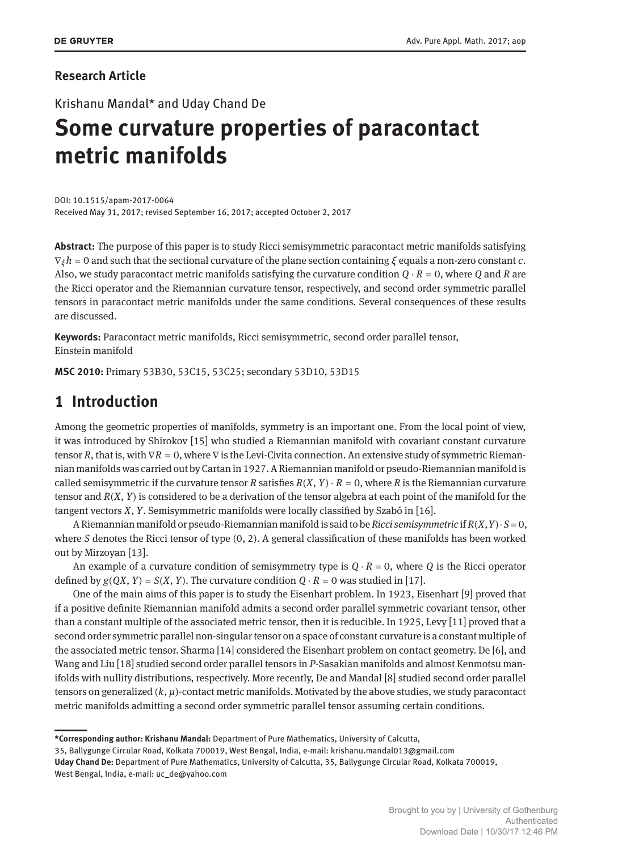#### **Research Article**

Krishanu Mandal\* and Uday Chand De

# **Some curvature properties of paracontact metric manifolds**

DOI: 10.1515/apam-2017-0064 Received May 31, 2017; revised September 16, 2017; accepted October 2, 2017

**Abstract:** The purpose of this paper is to study Ricci semisymmetric paracontact metric manifolds satisfying ∇*<sup>ξ</sup> h* = 0 and such that the sectional curvature of the plane section containing *ξ* equals a non-zero constant *c*. Also, we study paracontact metric manifolds satisfying the curvature condition *Q* ⋅ *R* = 0, where *Q* and *R* are the Ricci operator and the Riemannian curvature tensor, respectively, and second order symmetric parallel tensors in paracontact metric manifolds under the same conditions. Several consequences of these results are discussed.

**Keywords:** Paracontact metric manifolds, Ricci semisymmetric, second order parallel tensor, Einstein manifold

**MSC 2010:** Primary 53B30, 53C15, 53C25; secondary 53D10, 53D15

#### **1 Introduction**

Among the geometric properties of manifolds, symmetry is an important one. From the local point of view, it was introduced by Shirokov [15] who studied a Riemannian manifold with covariant constant curvature tensor *R*, that is, with  $\nabla R = 0$ , where  $\nabla$  is the Levi-Civita connection. An extensive study of symmetric Riemannian manifolds was carried out by Cartan in 1927. A Riemannian manifold or pseudo-Riemannian manifold is called semisymmetric if the curvature tensor *R* satisfies  $R(X, Y) \cdot R = 0$ , where *R* is the Riemannian curvature tensor and *R*(*X*, *Y*) is considered to be a derivation of the tensor algebra at each point of the manifold for the tangent vectors *X*, *Y*. Semisymmetric manifolds were locally classified by Szabó in [16].

A Riemannian manifold or pseudo-Riemannian manifold is said to be*Ricci semisymmetric* if *R*(*X*,*Y*) ⋅ *S* = 0, where *S* denotes the Ricci tensor of type (0, 2). A general classification of these manifolds has been worked out by Mirzoyan [13].

An example of a curvature condition of semisymmetry type is  $Q \cdot R = 0$ , where *Q* is the Ricci operator defined by  $g(QX, Y) = S(X, Y)$ . The curvature condition  $Q \cdot R = 0$  was studied in [17].

One of the main aims of this paper is to study the Eisenhart problem. In 1923, Eisenhart [9] proved that if a positive definite Riemannian manifold admits a second order parallel symmetric covariant tensor, other than a constant multiple of the associated metric tensor, then it is reducible. In 1925, Levy [11] proved that a second order symmetric parallel non-singular tensor on a space of constant curvature is a constant multiple of the associated metric tensor. Sharma [14] considered the Eisenhart problem on contact geometry. De [6], and Wang and Liu [18] studied second order parallel tensors in *P*-Sasakian manifolds and almost Kenmotsu manifolds with nullity distributions, respectively. More recently, De and Mandal [8] studied second order parallel tensors on generalized  $(k, \mu)$ -contact metric manifolds. Motivated by the above studies, we study paracontact metric manifolds admitting a second order symmetric parallel tensor assuming certain conditions.

35, Ballygunge Circular Road, Kolkata 700019, West Bengal, India, e-mail: krishanu.mandal013@gmail.com

**<sup>\*</sup>Corresponding author: Krishanu Mandal:** Department of Pure Mathematics, University of Calcutta,

**Uday Chand De:** Department of Pure Mathematics, University of Calcutta, 35, Ballygunge Circular Road, Kolkata 700019, West Bengal, India, e-mail: uc\_de@yahoo.com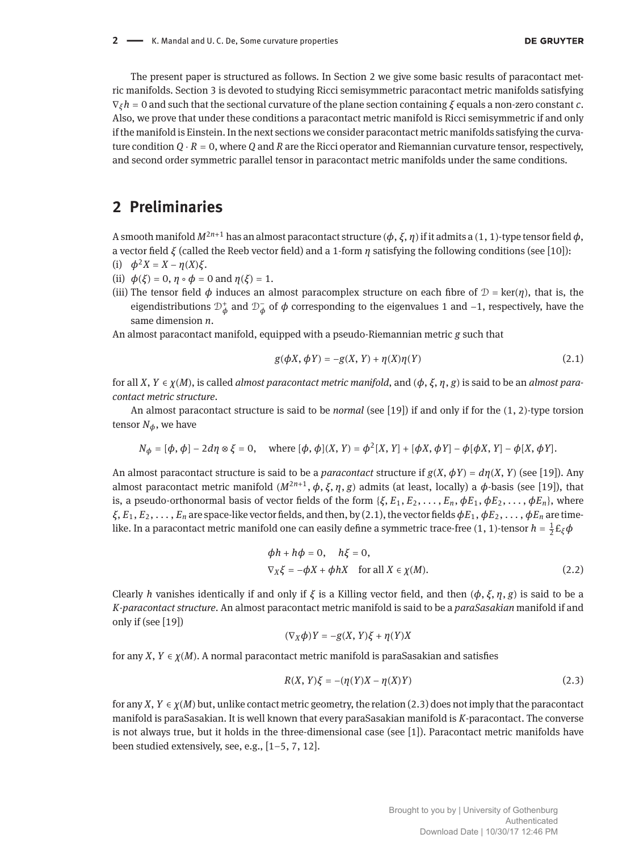The present paper is structured as follows. In Section 2 we give some basic results of paracontact metric manifolds. Section 3 is devoted to studying Ricci semisymmetric paracontact metric manifolds satisfying ∇*<sup>ξ</sup> h* = 0 and such that the sectional curvature of the plane section containing *ξ* equals a non-zero constant *c*. Also, we prove that under these conditions a paracontact metric manifold is Ricci semisymmetric if and only if the manifold is Einstein. In the next sections we consider paracontact metric manifolds satisfying the curvature condition *Q* ⋅ *R* = 0, where *Q* and *R* are the Ricci operator and Riemannian curvature tensor, respectively, and second order symmetric parallel tensor in paracontact metric manifolds under the same conditions.

#### **2 Preliminaries**

A smooth manifold *M*2*n*+<sup>1</sup> has an almost paracontact structure (*ϕ*, *ξ*, *η*)if it admits a (1, 1)-type tensor őeld *ϕ*, a vector őeld *ξ* (called the Reeb vector őeld) and a 1-form *η* satisfying the following conditions (see [10]):

(i) 
$$
\phi^2 X = X - \eta(X)\xi
$$
.

- (ii)  $\phi(\xi) = 0, \eta \circ \phi = 0$  and  $\eta(\xi) = 1$ .
- (iii) The tensor field  $\phi$  induces an almost paracomplex structure on each fibre of  $\mathcal{D} = \text{ker}(\eta)$ , that is, the eigendistributions  $\mathcal{D}^+_\phi$  and  $\mathcal{D}^-_\phi$  of  $\phi$  corresponding to the eigenvalues 1 and -1, respectively, have the same dimension *n*.

An almost paracontact manifold, equipped with a pseudo-Riemannian metric *g* such that

$$
g(\phi X, \phi Y) = -g(X, Y) + \eta(X)\eta(Y)
$$
\n(2.1)

for all *X*, *Y* ∈ *χ*(*M*), is called *almost paracontact metric manifold*, and (*ϕ*, *ξ*, *η*, *g*) is said to be an *almost paracontact metric structure*.

An almost paracontact structure is said to be *normal* (see [19]) if and only if for the (1, 2)-type torsion tensor *Nϕ*, we have

$$
N_{\phi} = [\phi, \phi] - 2d\eta \otimes \xi = 0, \quad \text{where } [\phi, \phi](X, Y) = \phi^2[X, Y] + [\phi X, \phi Y] - \phi[\phi X, Y] - \phi[X, \phi Y].
$$

An almost paracontact structure is said to be a *paracontact* structure if *g*(*X*, *ϕY*) = *dη*(*X*, *Y*) (see [19]). Any almost paracontact metric manifold (*M*2*n*+<sup>1</sup> , *ϕ*, *ξ*, *η*, *g*) admits (at least, locally) a *ϕ*-basis (see [19]), that is, a pseudo-orthonormal basis of vector fields of the form  $\{\xi, E_1, E_2, \ldots, E_n, \phi E_1, \phi E_2, \ldots, \phi E_n\}$ , where  $\zeta$ ,  $E_1, E_2, \ldots, E_n$  are space-like vector fields, and then, by (2.1), the vector fields  $\phi E_1, \phi E_2, \ldots, \phi E_n$  are timelike. In a paracontact metric manifold one can easily define a symmetric trace-free (1, 1)-tensor  $h=\frac{1}{2}E_\zeta\phi$ 

$$
\phi h + h\phi = 0, \quad h\xi = 0,
$$
  
\n
$$
\nabla_X \xi = -\phi X + \phi hX \quad \text{for all } X \in \chi(M).
$$
 (2.2)

Clearly *h* vanishes identically if and only if  $\xi$  is a Killing vector field, and then  $(\phi, \xi, \eta, g)$  is said to be a *K-paracontact structure*. An almost paracontact metric manifold is said to be a *paraSasakian* manifold if and only if (see [19])

$$
(\nabla_X \phi)Y = -g(X, Y)\xi + \eta(Y)X
$$

for any *X*,  $Y \in \chi(M)$ . A normal paracontact metric manifold is paraSasakian and satisfies

$$
R(X, Y)\xi = -(\eta(Y)X - \eta(X)Y) \tag{2.3}
$$

for any *X*,  $Y \in \chi(M)$  but, unlike contact metric geometry, the relation (2.3) does not imply that the paracontact manifold is paraSasakian. It is well known that every paraSasakian manifold is *K*-paracontact. The converse is not always true, but it holds in the three-dimensional case (see [1]). Paracontact metric manifolds have been studied extensively, see, e.g.,  $[1-5, 7, 12]$ .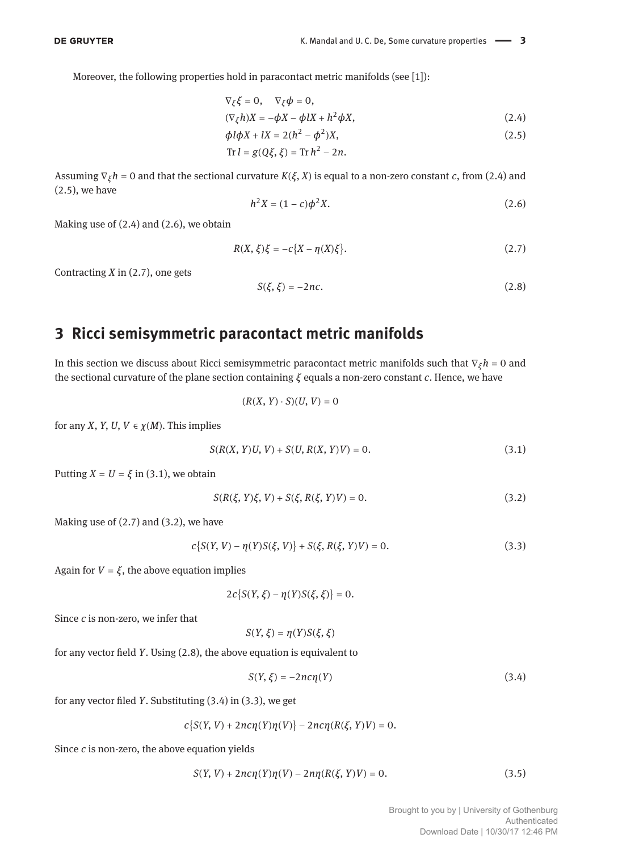Moreover, the following properties hold in paracontact metric manifolds (see [1]):

$$
\nabla_{\xi} \xi = 0, \quad \nabla_{\xi} \phi = 0,
$$
  

$$
(\nabla_{\xi} h) X = -\phi X - \phi I X + h^2 \phi X
$$
 (2.4)

$$
(\nabla_{\xi} h)X = -\phi X - \phi I X + h^2 \phi X, \qquad (2.4)
$$

$$
\phi l\phi X + lX = 2(h^2 - \phi^2)X,
$$
  
Tr  $l = g(Q\xi, \xi) = \text{Tr } h^2 - 2n.$  (2.5)

Assuming  $\nabla_{\xi} h = 0$  and that the sectional curvature  $K(\xi, X)$  is equal to a non-zero constant *c*, from (2.4) and (2.5), we have

$$
h^2 X = (1 - c)\phi^2 X.
$$
 (2.6)

Making use of  $(2.4)$  and  $(2.6)$ , we obtain

$$
R(X, \xi)\xi = -c\{X - \eta(X)\xi\}.
$$
 (2.7)

Contracting *X* in (2.7), one gets

$$
S(\xi, \xi) = -2nc. \tag{2.8}
$$

#### **3 Ricci semisymmetric paracontact metric manifolds**

In this section we discuss about Ricci semisymmetric paracontact metric manifolds such that ∇*<sup>ξ</sup> h* = 0 and the sectional curvature of the plane section containing *ξ* equals a non-zero constant *c*. Hence, we have

$$
(R(X, Y) \cdot S)(U, V) = 0
$$

for any *X*, *Y*, *U*, *V*  $\in \chi(M)$ . This implies

$$
S(R(X, Y)U, V) + S(U, R(X, Y)V) = 0.
$$
\n(3.1)

Putting  $X = U = \xi$  in (3.1), we obtain

$$
S(R(\xi, Y)\xi, V) + S(\xi, R(\xi, Y)V) = 0.
$$
\n(3.2)

Making use of  $(2.7)$  and  $(3.2)$ , we have

$$
c\{S(Y, V) - \eta(Y)S(\xi, V)\} + S(\xi, R(\xi, Y)V) = 0.
$$
\n(3.3)

Again for  $V = \xi$ , the above equation implies

$$
2c{S(Y, \xi) - \eta(Y)S(\xi, \xi)} = 0.
$$

Since *c* is non-zero, we infer that

$$
S(Y,\xi)=\eta(Y)S(\xi,\xi)
$$

for any vector field *Y*. Using (2.8), the above equation is equivalent to

$$
S(Y, \xi) = -2nc\eta(Y) \tag{3.4}
$$

for any vector filed *Y*. Substituting (3.4) in (3.3), we get

$$
c{S(Y, V) + 2nc\eta(Y)\eta(V)} - 2nc\eta(R(\xi, Y)V) = 0.
$$

Since *c* is non-zero, the above equation yields

$$
S(Y, V) + 2nc\eta(Y)\eta(V) - 2n\eta(R(\xi, Y)V) = 0.
$$
\n(3.5)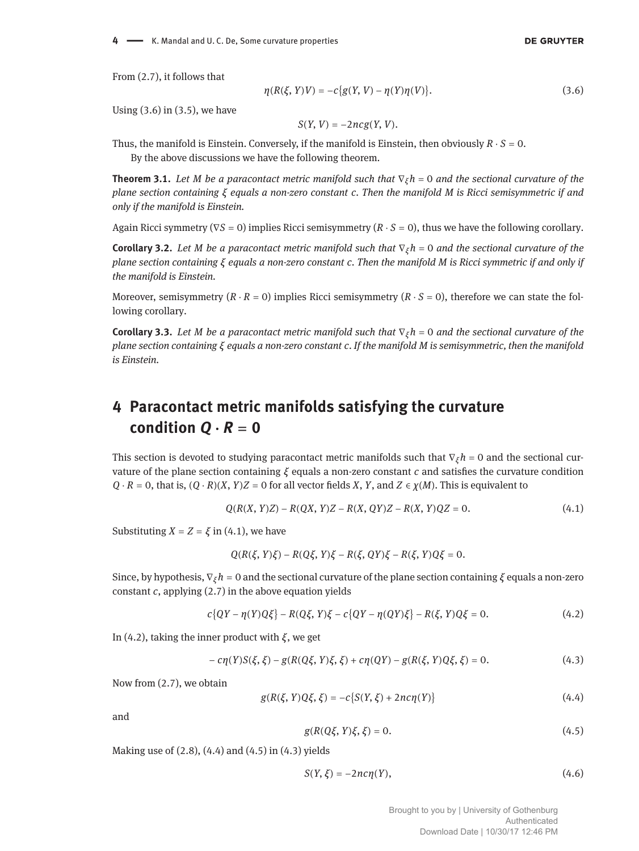From (2.7), it follows that

$$
\eta(R(\xi, Y)V) = -c\{g(Y, V) - \eta(Y)\eta(V)\}.
$$
\n(3.6)

Using  $(3.6)$  in  $(3.5)$ , we have

$$
S(Y, V) = -2ncg(Y, V).
$$

Thus, the manifold is Einstein. Conversely, if the manifold is Einstein, then obviously  $R \cdot S = 0$ . By the above discussions we have the following theorem.

**Theorem 3.1.** *Let M be a paracontact metric manifold such that* ∇*<sup>ξ</sup> h* = 0 *and the sectional curvature of the plane section containing ξ equals a non-zero constant c. Then the manifold M is Ricci semisymmetric if and only if the manifold is Einstein.*

Again Ricci symmetry (∇*S* = 0) implies Ricci semisymmetry (*R* ⋅ *S* = 0), thus we have the following corollary.

**Corollary 3.2.** *Let M be a paracontact metric manifold such that* ∇*<sup>ξ</sup> h* = 0 *and the sectional curvature of the plane section containing ξ equals a non-zero constant c. Then the manifold M is Ricci symmetric if and only if the manifold is Einstein.*

Moreover, semisymmetry  $(R \cdot R = 0)$  implies Ricci semisymmetry  $(R \cdot S = 0)$ , therefore we can state the following corollary.

**Corollary 3.3.** *Let M be a paracontact metric manifold such that* ∇*<sup>ξ</sup> h* = 0 *and the sectional curvature of the plane section containing ξ equals a non-zero constant c. If the manifold M is semisymmetric, then the manifold is Einstein.*

## **4 Paracontact metric manifolds satisfying the curvature condition**  $Q \cdot R = 0$

This section is devoted to studying paracontact metric manifolds such that ∇*<sup>ξ</sup> h* = 0 and the sectional curvature of the plane section containing *ξ* equals a non-zero constant *c* and satisőes the curvature condition  $Q \cdot R = 0$ , that is,  $(Q \cdot R)(X, Y)Z = 0$  for all vector fields *X*, *Y*, and  $Z \in \chi(M)$ . This is equivalent to

$$
Q(R(X, Y)Z) - R(QX, Y)Z - R(X, QY)Z - R(X, Y)QZ = 0.
$$
\n(4.1)

Substituting  $X = Z = \xi$  in (4.1), we have

$$
Q(R(\xi, Y)\xi) - R(Q\xi, Y)\xi - R(\xi, QY)\xi - R(\xi, Y)Q\xi = 0.
$$

Since, by hypothesis, ∇*<sup>ξ</sup> h* = 0 and the sectional curvature of the plane section containing *ξ* equals a non-zero constant *c*, applying (2.7) in the above equation yields

$$
c\{QY - \eta(Y)Q\xi\} - R(Q\xi, Y)\xi - c\{QY - \eta(QY)\xi\} - R(\xi, Y)Q\xi = 0.
$$
\n(4.2)

In (4.2), taking the inner product with  $ξ$ , we get

$$
- c\eta(Y)S(\xi,\xi) - g(R(Q\xi,Y)\xi,\xi) + c\eta(QY) - g(R(\xi,Y)Q\xi,\xi) = 0.
$$
\n(4.3)

Now from (2.7), we obtain

$$
g(R(\xi, Y)Q\xi, \xi) = -c\{S(Y, \xi) + 2nc\eta(Y)\}\tag{4.4}
$$

and

$$
g(R(Q\xi, Y)\xi, \xi) = 0. \tag{4.5}
$$

Making use of (2.8), (4.4) and (4.5) in (4.3) yields

$$
S(Y,\xi) = -2nc\eta(Y),\tag{4.6}
$$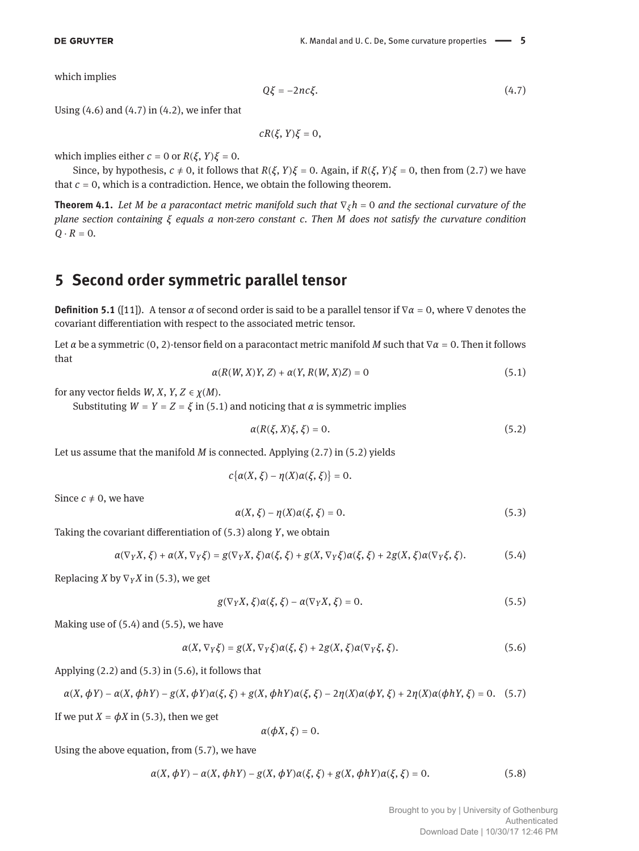which implies

$$
Q\xi = -2nc\xi. \tag{4.7}
$$

Using  $(4.6)$  and  $(4.7)$  in  $(4.2)$ , we infer that

*cR*(*ξ*, *Y*)*ξ* = 0,

which implies either  $c = 0$  or  $R(\xi, Y)\xi = 0$ .

Since, by hypothesis,  $c \neq 0$ , it follows that  $R(\xi, Y)\xi = 0$ . Again, if  $R(\xi, Y)\xi = 0$ , then from (2.7) we have that  $c = 0$ , which is a contradiction. Hence, we obtain the following theorem.

**Theorem 4.1.** *Let M be a paracontact metric manifold such that* ∇*<sup>ξ</sup> h* = 0 *and the sectional curvature of the plane section containing ξ equals a non-zero constant c. Then M does not satisfy the curvature condition*  $Q \cdot R = 0$ .

### **5 Second order symmetric parallel tensor**

**Definition 5.1** ([11]). A tensor *α* of second order is said to be a parallel tensor if  $∇*α* = 0$ , where  $∇$  denotes the covariant differentiation with respect to the associated metric tensor.

Let *α* be a symmetric (0, 2)-tensor field on a paracontact metric manifold *M* such that  $\nabla \alpha = 0$ . Then it follows that

$$
\alpha(R(W, X)Y, Z) + \alpha(Y, R(W, X)Z) = 0 \qquad (5.1)
$$

for any vector fields  $W$ ,  $X$ ,  $Y$ ,  $Z \in \chi(M)$ .

Substituting  $W = Y = Z = \xi$  in (5.1) and noticing that  $\alpha$  is symmetric implies

$$
\alpha(R(\xi, X)\xi, \xi) = 0. \tag{5.2}
$$

Let us assume that the manifold *M* is connected. Applying (2.7) in (5.2) yields

$$
c\{\alpha(X,\xi)-\eta(X)\alpha(\xi,\xi)\}=0.
$$

Since  $c \neq 0$ , we have

$$
\alpha(X,\xi) - \eta(X)\alpha(\xi,\xi) = 0. \tag{5.3}
$$

Taking the covariant differentiation of (5.3) along *Y*, we obtain

$$
\alpha(\nabla_Y X, \xi) + \alpha(X, \nabla_Y \xi) = g(\nabla_Y X, \xi) \alpha(\xi, \xi) + g(X, \nabla_Y \xi) \alpha(\xi, \xi) + 2g(X, \xi) \alpha(\nabla_Y \xi, \xi). \tag{5.4}
$$

Replacing *X* by  $\nabla_Y X$  in (5.3), we get

$$
g(\nabla_Y X, \xi) \alpha(\xi, \xi) - \alpha(\nabla_Y X, \xi) = 0.
$$
\n(5.5)

Making use of  $(5.4)$  and  $(5.5)$ , we have

$$
\alpha(X, \nabla_Y \xi) = g(X, \nabla_Y \xi) \alpha(\xi, \xi) + 2g(X, \xi) \alpha(\nabla_Y \xi, \xi). \tag{5.6}
$$

Applying  $(2.2)$  and  $(5.3)$  in  $(5.6)$ , it follows that

$$
\alpha(X, \phi Y) - \alpha(X, \phi hY) - g(X, \phi Y)\alpha(\xi, \xi) + g(X, \phi hY)\alpha(\xi, \xi) - 2\eta(X)\alpha(\phi Y, \xi) + 2\eta(X)\alpha(\phi hY, \xi) = 0. \quad (5.7)
$$

If we put  $X = \phi X$  in (5.3), then we get

$$
\alpha(\phi X,\xi)=0.
$$

Using the above equation, from (5.7), we have

$$
\alpha(X, \phi Y) - \alpha(X, \phi hY) - g(X, \phi Y)\alpha(\xi, \xi) + g(X, \phi hY)\alpha(\xi, \xi) = 0.
$$
\n(5.8)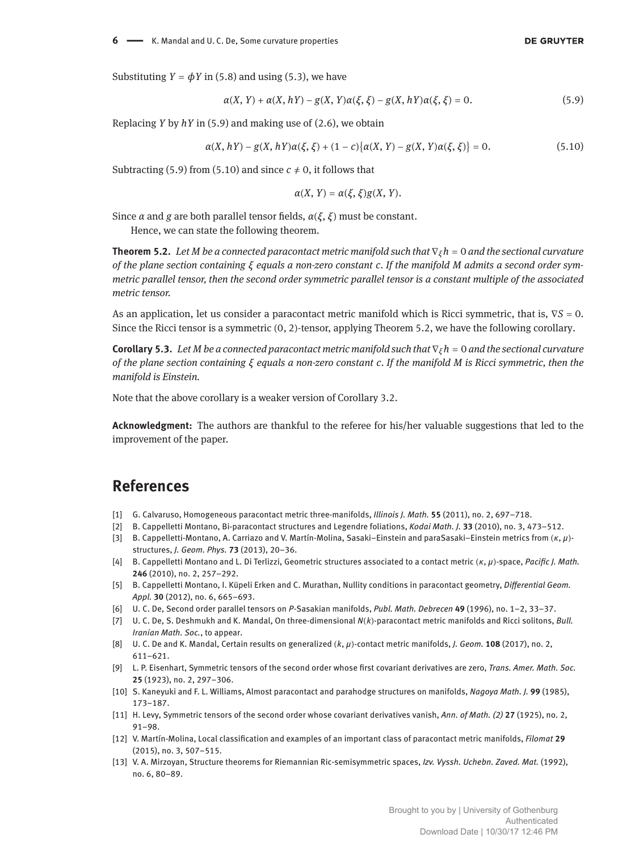Substituting  $Y = \phi Y$  in (5.8) and using (5.3), we have

$$
\alpha(X, Y) + \alpha(X, hY) - g(X, Y)\alpha(\xi, \xi) - g(X, hY)\alpha(\xi, \xi) = 0.
$$
 (5.9)

Replacing *Y* by *hY* in (5.9) and making use of (2.6), we obtain

$$
\alpha(X, hY) - g(X, hY)\alpha(\xi, \xi) + (1 - c)\{\alpha(X, Y) - g(X, Y)\alpha(\xi, \xi)\} = 0.
$$
\n(5.10)

Subtracting (5.9) from (5.10) and since  $c \neq 0$ , it follows that

$$
\alpha(X, Y) = \alpha(\xi, \xi)g(X, Y).
$$

Since  $\alpha$  and  $g$  are both parallel tensor fields,  $\alpha(\xi, \xi)$  must be constant.

Hence, we can state the following theorem.

**Theorem 5.2.** *Let M be a connected paracontact metric manifold such that* ∇*<sup>ξ</sup> h* = 0 *and the sectional curvature of the plane section containing ξ equals a non-zero constant c. If the manifold M admits a second order symmetric parallel tensor, then the second order symmetric parallel tensor is a constant multiple of the associated metric tensor.*

As an application, let us consider a paracontact metric manifold which is Ricci symmetric, that is, ∇*S* = 0. Since the Ricci tensor is a symmetric (0, 2)-tensor, applying Theorem 5.2, we have the following corollary.

**Corollary 5.3.** *Let M be a connected paracontact metric manifold such that* ∇*<sup>ξ</sup> h* = 0 *and the sectional curvature of the plane section containing ξ equals a non-zero constant c. If the manifold M is Ricci symmetric, then the manifold is Einstein.*

Note that the above corollary is a weaker version of Corollary 3.2.

**Acknowledgment:** The authors are thankful to the referee for his/her valuable suggestions that led to the improvement of the paper.

#### **References**

- [1] G. Calvaruso, Homogeneous paracontact metric three-manifolds, *Illinois J. Math.* 55 (2011), no. 2, 697-718.
- [2] B. Cappelletti Montano, Bi-paracontact structures and Legendre foliations, *Kodai Math. J.* **33** (2010), no. 3, 473–512.
- [3] B. Cappelletti-Montano, A. Carriazo and V. Martín-Molina, Sasaki–Einstein and paraSasaki–Einstein metrics from (*κ*, *μ*)structures, *J. Geom. Phys.* **73** (2013), 20-36.
- [4] B. Cappelletti Montano and L. Di Terlizzi, Geometric structures associated to a contact metric (*κ*, *μ*)-space, Pacific J. Math. 246 (2010), no. 2, 257-292.
- [5] B. Cappelletti Montano, I. Küpeli Erken and C. Murathan, Nullity conditions in paracontact geometry, *Differential Geom.* Appl. 30 (2012), no. 6, 665-693.
- [6] U. C. De, Second order parallel tensors on P-Sasakian manifolds, *Publ. Math. Debrecen* 49 (1996), no. 1-2, 33-37.
- [7] U. C. De, S. Deshmukh and K. Mandal, On three-dimensional *N*(*k*)-paracontact metric manifolds and Ricci solitons, *Bull. Iranian Math. Soc.*, to appear.
- [8] U. C. De and K. Mandal, Certain results on generalized (*k*, *μ*)-contact metric manifolds, *J. Geom.* **108** (2017), no. 2,  $611 - 621$
- [9] L. P. Eisenhart, Symmetric tensors of the second order whose first covariant derivatives are zero, *Trans. Amer. Math. Soc.* 25 (1923), no. 2, 297-306.
- [10] S. Kaneyuki and F. L. Williams, Almost paracontact and parahodge structures on manifolds, *Nagoya Math. J.* **99** (1985),  $173 - 187$ .
- [11] H. Levy, Symmetric tensors of the second order whose covariant derivatives vanish, *Ann. of Math. (2)* **27** (1925), no. 2,  $91 - 98.$
- [12] V. Martín-Molina, Local classiőcation and examples of an important class of paracontact metric manifolds, *Filomat* **29**  $(2015)$ , no. 3, 507-515.
- [13] V. A. Mirzoyan, Structure theorems for Riemannian Ric-semisymmetric spaces, *Izv. Vyssh. Uchebn. Zaved. Mat.* (1992), no. 6, 80-89.